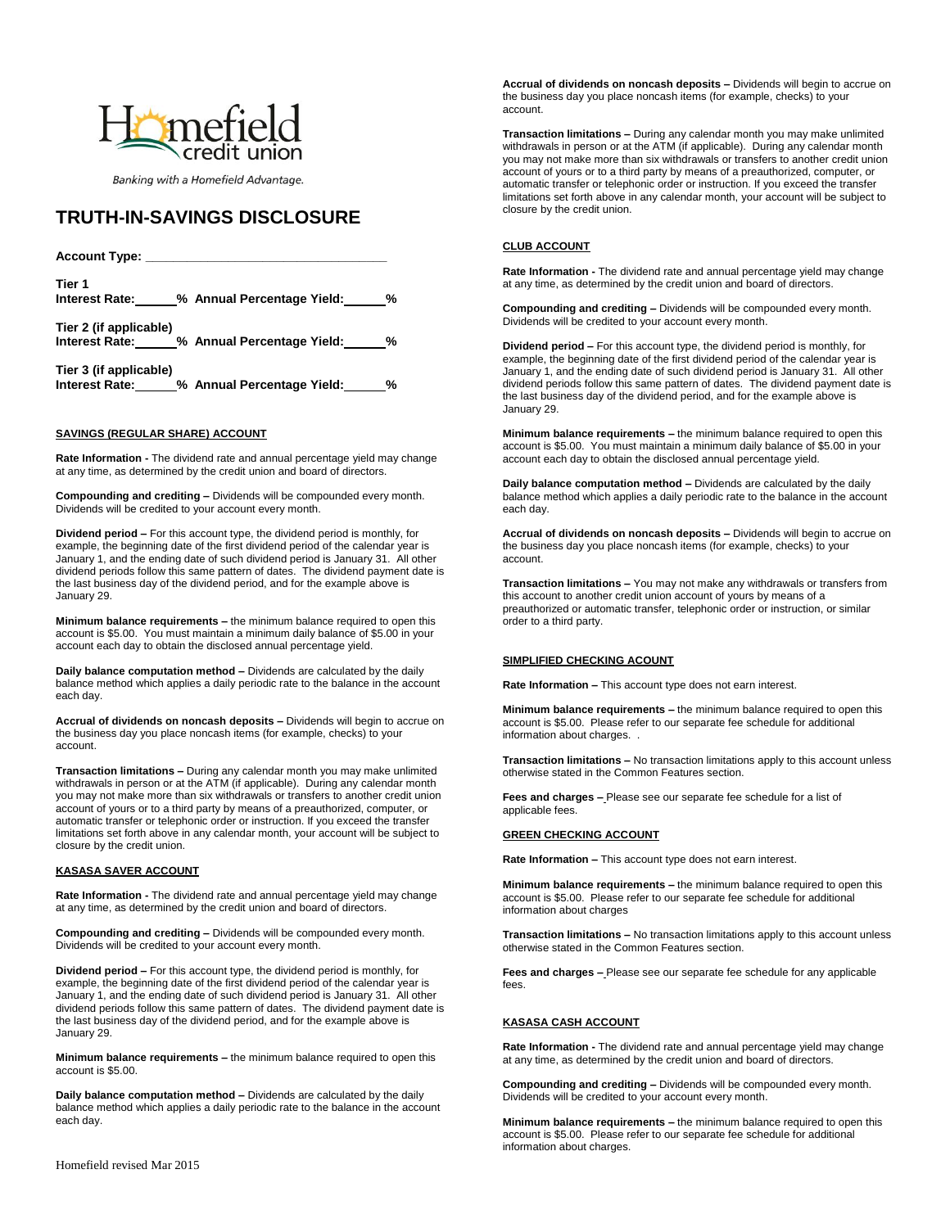

Banking with a Homefield Advantage.

# **TRUTH-IN-SAVINGS DISCLOSURE**

| Account Type:                            |                            |   |  |
|------------------------------------------|----------------------------|---|--|
| Tier 1<br>Interest Rate:                 | % Annual Percentage Yield: | % |  |
| Tier 2 (if applicable)<br>Interest Rate: | % Annual Percentage Yield: | % |  |

**Tier 3 (if applicable) Interest Rate: % Annual Percentage Yield: %**

# **SAVINGS (REGULAR SHARE) ACCOUNT**

**Rate Information -** The dividend rate and annual percentage yield may change at any time, as determined by the credit union and board of directors.

**Compounding and crediting –** Dividends will be compounded every month. Dividends will be credited to your account every month.

**Dividend period –** For this account type, the dividend period is monthly, for example, the beginning date of the first dividend period of the calendar year is January 1, and the ending date of such dividend period is January 31. All other dividend periods follow this same pattern of dates. The dividend payment date is the last business day of the dividend period, and for the example above is January 29.

**Minimum balance requirements –** the minimum balance required to open this account is \$5.00. You must maintain a minimum daily balance of \$5.00 in your account each day to obtain the disclosed annual percentage yield.

**Daily balance computation method –** Dividends are calculated by the daily balance method which applies a daily periodic rate to the balance in the account each day.

**Accrual of dividends on noncash deposits –** Dividends will begin to accrue on the business day you place noncash items (for example, checks) to your account.

**Transaction limitations –** During any calendar month you may make unlimited withdrawals in person or at the ATM (if applicable). During any calendar month you may not make more than six withdrawals or transfers to another credit union account of yours or to a third party by means of a preauthorized, computer, or automatic transfer or telephonic order or instruction. If you exceed the transfer limitations set forth above in any calendar month, your account will be subject to closure by the credit union.

### **KASASA SAVER ACCOUNT**

**Rate Information -** The dividend rate and annual percentage yield may change at any time, as determined by the credit union and board of directors.

**Compounding and crediting –** Dividends will be compounded every month. Dividends will be credited to your account every month.

**Dividend period –** For this account type, the dividend period is monthly, for example, the beginning date of the first dividend period of the calendar year is January 1, and the ending date of such dividend period is January 31. All other dividend periods follow this same pattern of dates. The dividend payment date is the last business day of the dividend period, and for the example above is January 29.

**Minimum balance requirements –** the minimum balance required to open this account is \$5.00.

**Daily balance computation method –** Dividends are calculated by the daily balance method which applies a daily periodic rate to the balance in the account each day.

**CLUB ACCOUNT**

closure by the credit union.

account.

**Rate Information -** The dividend rate and annual percentage yield may change at any time, as determined by the credit union and board of directors.

**Accrual of dividends on noncash deposits –** Dividends will begin to accrue on the business day you place noncash items (for example, checks) to your

**Transaction limitations –** During any calendar month you may make unlimited withdrawals in person or at the ATM (if applicable). During any calendar month you may not make more than six withdrawals or transfers to another credit union account of yours or to a third party by means of a preauthorized, computer, or automatic transfer or telephonic order or instruction. If you exceed the transfer limitations set forth above in any calendar month, your account will be subject to

**Compounding and crediting –** Dividends will be compounded every month. Dividends will be credited to your account every month.

**Dividend period –** For this account type, the dividend period is monthly, for example, the beginning date of the first dividend period of the calendar year is January 1, and the ending date of such dividend period is January 31. All other dividend periods follow this same pattern of dates. The dividend payment date is the last business day of the dividend period, and for the example above is January 29.

**Minimum balance requirements –** the minimum balance required to open this account is \$5.00. You must maintain a minimum daily balance of \$5.00 in your account each day to obtain the disclosed annual percentage yield.

**Daily balance computation method –** Dividends are calculated by the daily balance method which applies a daily periodic rate to the balance in the account each day.

**Accrual of dividends on noncash deposits –** Dividends will begin to accrue on the business day you place noncash items (for example, checks) to your account.

**Transaction limitations –** You may not make any withdrawals or transfers from this account to another credit union account of yours by means of a preauthorized or automatic transfer, telephonic order or instruction, or similar order to a third party.

### **SIMPLIFIED CHECKING ACOUNT**

**Rate Information –** This account type does not earn interest.

**Minimum balance requirements –** the minimum balance required to open this account is \$5.00. Please refer to our separate fee schedule for additional information about charges. .

**Transaction limitations –** No transaction limitations apply to this account unless otherwise stated in the Common Features section.

**Fees and charges –** Please see our separate fee schedule for a list of applicable fees.

# **GREEN CHECKING ACCOUNT**

**Rate Information –** This account type does not earn interest.

**Minimum balance requirements –** the minimum balance required to open this account is \$5.00. Please refer to our separate fee schedule for additional information about charges

**Transaction limitations –** No transaction limitations apply to this account unless otherwise stated in the Common Features section.

**Fees and charges –** Please see our separate fee schedule for any applicable fees.

### **KASASA CASH ACCOUNT**

**Rate Information -** The dividend rate and annual percentage yield may change at any time, as determined by the credit union and board of directors.

**Compounding and crediting –** Dividends will be compounded every month. Dividends will be credited to your account every month.

**Minimum balance requirements –** the minimum balance required to open this account is \$5.00. Please refer to our separate fee schedule for additional information about charges.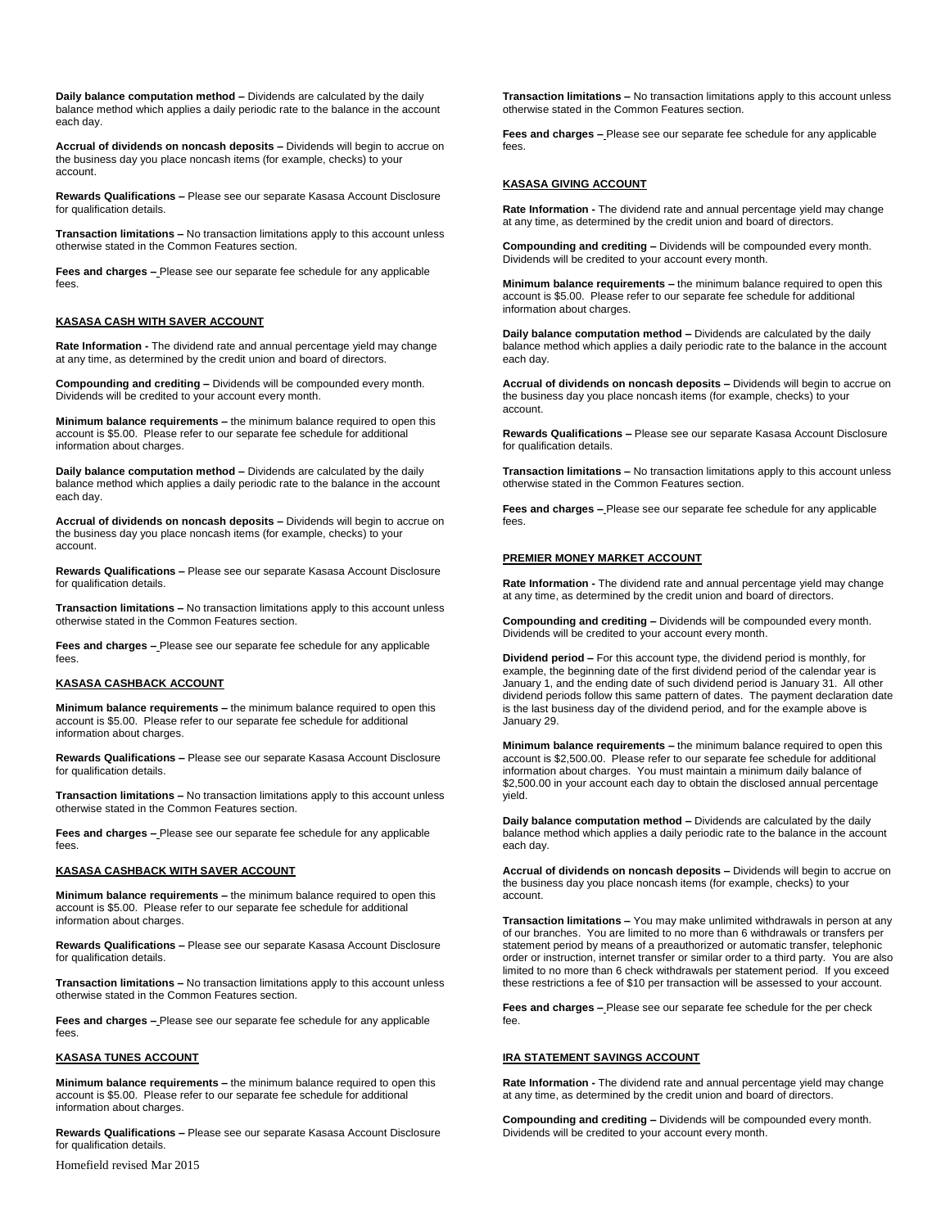**Daily balance computation method –** Dividends are calculated by the daily balance method which applies a daily periodic rate to the balance in the account each day.

**Accrual of dividends on noncash deposits –** Dividends will begin to accrue on the business day you place noncash items (for example, checks) to your account.

**Rewards Qualifications –** Please see our separate Kasasa Account Disclosure for qualification details.

**Transaction limitations –** No transaction limitations apply to this account unless otherwise stated in the Common Features section.

**Fees and charges –** Please see our separate fee schedule for any applicable fees.

# **KASASA CASH WITH SAVER ACCOUNT**

**Rate Information -** The dividend rate and annual percentage yield may change at any time, as determined by the credit union and board of directors.

**Compounding and crediting –** Dividends will be compounded every month. Dividends will be credited to your account every month.

**Minimum balance requirements –** the minimum balance required to open this account is \$5.00. Please refer to our separate fee schedule for additional information about charges.

**Daily balance computation method –** Dividends are calculated by the daily balance method which applies a daily periodic rate to the balance in the account each day.

**Accrual of dividends on noncash deposits –** Dividends will begin to accrue on the business day you place noncash items (for example, checks) to your account.

**Rewards Qualifications –** Please see our separate Kasasa Account Disclosure for qualification details.

**Transaction limitations –** No transaction limitations apply to this account unless otherwise stated in the Common Features section.

**Fees and charges –** Please see our separate fee schedule for any applicable fees.

# **KASASA CASHBACK ACCOUNT**

**Minimum balance requirements –** the minimum balance required to open this account is \$5.00. Please refer to our separate fee schedule for additional information about charges.

**Rewards Qualifications –** Please see our separate Kasasa Account Disclosure for qualification details.

**Transaction limitations –** No transaction limitations apply to this account unless otherwise stated in the Common Features section.

**Fees and charges –** Please see our separate fee schedule for any applicable fees.

### **KASASA CASHBACK WITH SAVER ACCOUNT**

**Minimum balance requirements –** the minimum balance required to open this account is \$5.00. Please refer to our separate fee schedule for additional information about charges.

**Rewards Qualifications –** Please see our separate Kasasa Account Disclosure for qualification details.

**Transaction limitations –** No transaction limitations apply to this account unless otherwise stated in the Common Features section.

**Fees and charges –** Please see our separate fee schedule for any applicable fees.

### **KASASA TUNES ACCOUNT**

**Minimum balance requirements –** the minimum balance required to open this account is \$5.00. Please refer to our separate fee schedule for additional information about charges.

**Rewards Qualifications –** Please see our separate Kasasa Account Disclosure for qualification details.

Homefield revised Mar 2015

**Transaction limitations –** No transaction limitations apply to this account unless otherwise stated in the Common Features section.

**Fees and charges –** Please see our separate fee schedule for any applicable fees.

### **KASASA GIVING ACCOUNT**

**Rate Information -** The dividend rate and annual percentage yield may change at any time, as determined by the credit union and board of directors.

**Compounding and crediting –** Dividends will be compounded every month. Dividends will be credited to your account every month.

**Minimum balance requirements –** the minimum balance required to open this account is \$5.00. Please refer to our separate fee schedule for additional information about charges.

**Daily balance computation method –** Dividends are calculated by the daily balance method which applies a daily periodic rate to the balance in the account each day.

**Accrual of dividends on noncash deposits –** Dividends will begin to accrue on the business day you place noncash items (for example, checks) to your account.

**Rewards Qualifications –** Please see our separate Kasasa Account Disclosure for qualification details.

**Transaction limitations –** No transaction limitations apply to this account unless otherwise stated in the Common Features section.

**Fees and charges –** Please see our separate fee schedule for any applicable fees.

### **PREMIER MONEY MARKET ACCOUNT**

**Rate Information -** The dividend rate and annual percentage yield may change at any time, as determined by the credit union and board of directors.

**Compounding and crediting –** Dividends will be compounded every month. Dividends will be credited to your account every month.

**Dividend period –** For this account type, the dividend period is monthly, for example, the beginning date of the first dividend period of the calendar year is January 1, and the ending date of such dividend period is January 31. All other dividend periods follow this same pattern of dates. The payment declaration date is the last business day of the dividend period, and for the example above is January 29.

**Minimum balance requirements –** the minimum balance required to open this account is \$2,500.00. Please refer to our separate fee schedule for additional information about charges. You must maintain a minimum daily balance of \$2,500.00 in your account each day to obtain the disclosed annual percentage yield.

**Daily balance computation method –** Dividends are calculated by the daily balance method which applies a daily periodic rate to the balance in the account each day.

**Accrual of dividends on noncash deposits –** Dividends will begin to accrue on the business day you place noncash items (for example, checks) to your account.

**Transaction limitations –** You may make unlimited withdrawals in person at any of our branches. You are limited to no more than 6 withdrawals or transfers per statement period by means of a preauthorized or automatic transfer, telephonic order or instruction, internet transfer or similar order to a third party. You are also limited to no more than 6 check withdrawals per statement period. If you exceed these restrictions a fee of \$10 per transaction will be assessed to your account.

**Fees and charges –** Please see our separate fee schedule for the per check fee.

# **IRA STATEMENT SAVINGS ACCOUNT**

**Rate Information -** The dividend rate and annual percentage yield may change at any time, as determined by the credit union and board of directors.

**Compounding and crediting –** Dividends will be compounded every month. Dividends will be credited to your account every month.